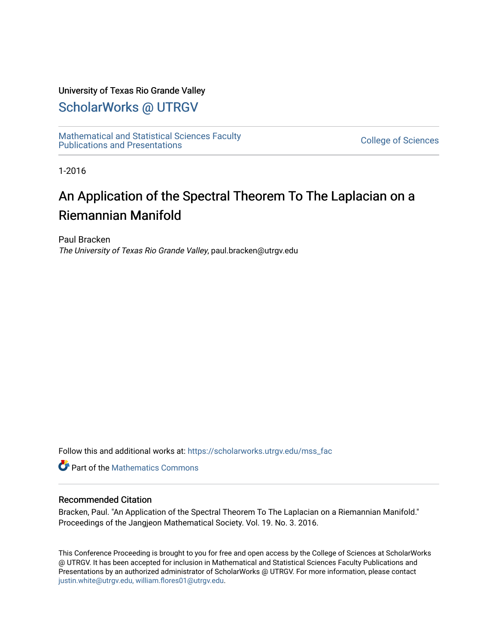### University of Texas Rio Grande Valley

## [ScholarWorks @ UTRGV](https://scholarworks.utrgv.edu/)

[Mathematical and Statistical Sciences Faculty](https://scholarworks.utrgv.edu/mss_fac)  mathematical and Statistical Sciences Faculty<br>Publications and Presentations

1-2016

## An Application of the Spectral Theorem To The Laplacian on a Riemannian Manifold

Paul Bracken The University of Texas Rio Grande Valley, paul.bracken@utrgv.edu

Follow this and additional works at: [https://scholarworks.utrgv.edu/mss\\_fac](https://scholarworks.utrgv.edu/mss_fac?utm_source=scholarworks.utrgv.edu%2Fmss_fac%2F235&utm_medium=PDF&utm_campaign=PDFCoverPages) 

**C** Part of the [Mathematics Commons](http://network.bepress.com/hgg/discipline/174?utm_source=scholarworks.utrgv.edu%2Fmss_fac%2F235&utm_medium=PDF&utm_campaign=PDFCoverPages)

### Recommended Citation

Bracken, Paul. "An Application of the Spectral Theorem To The Laplacian on a Riemannian Manifold." Proceedings of the Jangjeon Mathematical Society. Vol. 19. No. 3. 2016.

This Conference Proceeding is brought to you for free and open access by the College of Sciences at ScholarWorks @ UTRGV. It has been accepted for inclusion in Mathematical and Statistical Sciences Faculty Publications and Presentations by an authorized administrator of ScholarWorks @ UTRGV. For more information, please contact [justin.white@utrgv.edu, william.flores01@utrgv.edu](mailto:justin.white@utrgv.edu,%20william.flores01@utrgv.edu).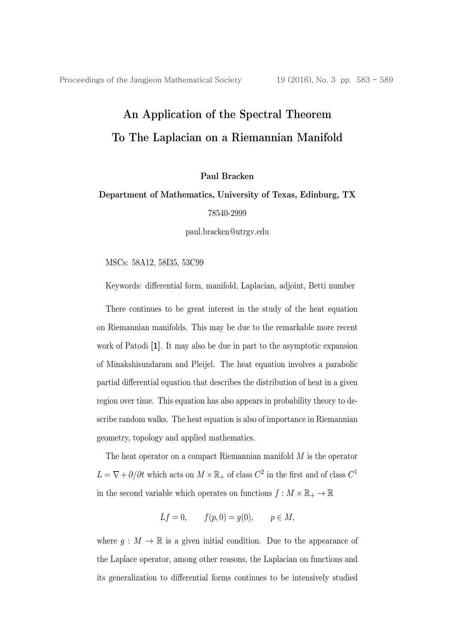# An Application of the Spectral Theorem To The Laplacian on a Riemannian Manifold

Paul Bracken

### Department of Mathematics, University of Texas, Edinburg, TX 78540-2999

paul.bracken@utrgv.edu

MSCs: 58A12, 58I35, 53C99

Keywords: differential form, manifold, Laplacian, adjoint, Betti number

There continues to be great interest in the study of the heat equation on Riemannian manifolds. This may be due to the remarkable more recent work of Patodi [1]. It may also be due in part to the asymptotic expansion of Minakshisundaram and Pleijel. The heat equation involves a parabolic partial differential equation that describes the distribution of heat in a given region over time. This equation has also appears in probability theory to describe random walks. The heat equation is also of importance in Riemannian geometry, topology and applied mathematics.

The heat operator on a compact Riemannian manifold  $M$  is the operator  $L=\nabla + \partial/\partial t$  which acts on  $M\times \mathbb{R}_+$  of class  $C^2$  in the first and of class  $C^1$ in the second variable which operates on functions  $f : M \times \mathbb{R}_+ \to \mathbb{R}$ 

$$
Lf = 0,
$$
  $f(p, 0) = g(0),$   $p \in M,$ 

where  $g: M \to \mathbb{R}$  is a given initial condition. Due to the appearance of the Laplace operator, among other reasons, the Laplacian on functions and its generalization to differential forms continues to be intensively studied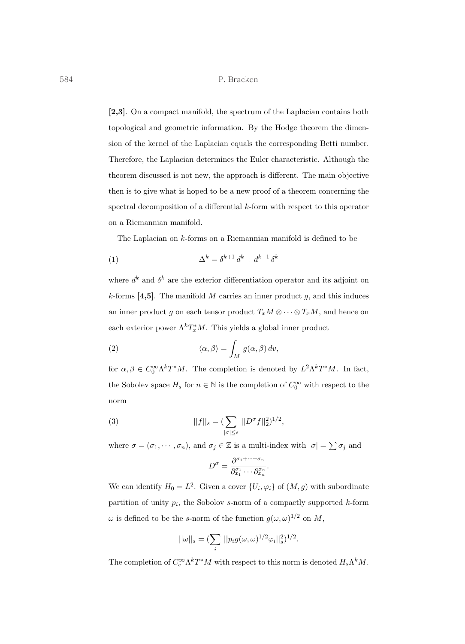#### 584 P. Bracken

[2,3]. On a compact manifold, the spectrum of the Laplacian contains both topological and geometric information. By the Hodge theorem the dimension of the kernel of the Laplacian equals the corresponding Betti number. Therefore, the Laplacian determines the Euler characteristic. Although the theorem discussed is not new, the approach is different. The main objective then is to give what is hoped to be a new proof of a theorem concerning the spectral decomposition of a differential  $k$ -form with respect to this operator on a Riemannian manifold.

The Laplacian on k-forms on a Riemannian manifold is defined to be

$$
\Delta^k = \delta^{k+1} d^k + d^{k-1} \delta^k
$$

where  $d^k$  and  $\delta^k$  are the exterior differentiation operator and its adjoint on k-forms [4,5]. The manifold M carries an inner product q, and this induces an inner product g on each tensor product  $T_xM\otimes\cdots\otimes T_xM$ , and hence on each exterior power  $\Lambda^k T^*_x M$ . This yields a global inner product

(2) 
$$
\langle \alpha, \beta \rangle = \int_M g(\alpha, \beta) dv,
$$

for  $\alpha, \beta \in C_0^{\infty} \Lambda^k T^* M$ . The completion is denoted by  $L^2 \Lambda^k T^* M$ . In fact, the Sobolev space  $H_s$  for  $n \in \mathbb{N}$  is the completion of  $C_0^{\infty}$  with respect to the norm

(3) 
$$
||f||_{s} = \left(\sum_{|\sigma| \leq s} ||D^{\sigma}f||_{2}^{2}\right)^{1/2},
$$

where  $\sigma = (\sigma_1, \dots, \sigma_n)$ , and  $\sigma_j \in \mathbb{Z}$  is a multi-index with  $|\sigma| = \sum \sigma_j$  and

$$
D^{\sigma} = \frac{\partial^{\sigma_1 + \dots + \sigma_n}}{\partial_{x_1}^{\sigma_1} \dots \partial_{x_n}^{\sigma_n}}.
$$

We can identify  $H_0 = L^2$ . Given a cover  $\{U_i, \varphi_i\}$  of  $(M, g)$  with subordinate partition of unity  $p_i$ , the Sobolov s-norm of a compactly supported k-form  $\omega$  is defined to be the s-norm of the function  $g(\omega, \omega)^{1/2}$  on M,

$$
||\omega||_s = (\sum_i ||p_i g(\omega, \omega)^{1/2} \varphi_i||_s^2)^{1/2}.
$$

The completion of  $C_c^{\infty} \Lambda^k T^*M$  with respect to this norm is denoted  $H_s \Lambda^k M$ .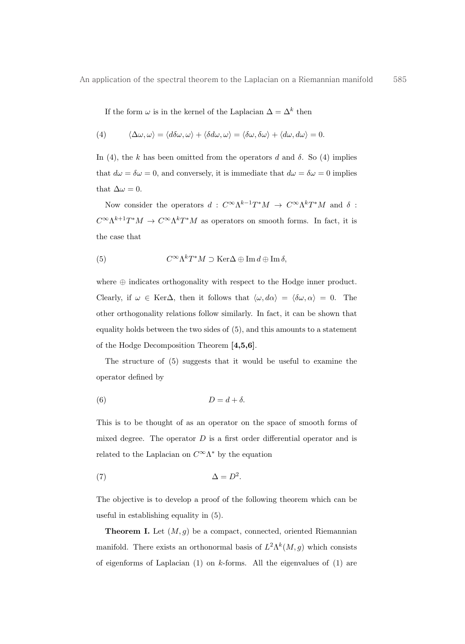If the form  $\omega$  is in the kernel of the Laplacian  $\Delta = \Delta^k$  then

(4) 
$$
\langle \Delta \omega, \omega \rangle = \langle d \delta \omega, \omega \rangle + \langle \delta d \omega, \omega \rangle = \langle \delta \omega, \delta \omega \rangle + \langle d \omega, d \omega \rangle = 0.
$$

In (4), the k has been omitted from the operators d and  $\delta$ . So (4) implies that  $d\omega = \delta\omega = 0$ , and conversely, it is immediate that  $d\omega = \delta\omega = 0$  implies that  $\Delta \omega = 0$ .

Now consider the operators  $d$  :  $C^{\infty}\Lambda^{k-1}T^*M$   $\;\rightarrow\; C^{\infty}\Lambda^kT^*M$  and  $\delta$  :  $C^{\infty} \Lambda^{k+1} T^* M \to C^{\infty} \Lambda^k T^* M$  as operators on smooth forms. In fact, it is the case that

(5) 
$$
C^{\infty} \Lambda^k T^* M \supset \text{Ker}\Delta \oplus \text{Im} d \oplus \text{Im} \delta,
$$

where ⊕ indicates orthogonality with respect to the Hodge inner product. Clearly, if  $\omega \in \text{Ker}\Delta$ , then it follows that  $\langle \omega, d\alpha \rangle = \langle \delta \omega, \alpha \rangle = 0$ . The other orthogonality relations follow similarly. In fact, it can be shown that equality holds between the two sides of (5), and this amounts to a statement of the Hodge Decomposition Theorem [4,5,6].

The structure of (5) suggests that it would be useful to examine the operator defined by

$$
(6) \t\t D = d + \delta.
$$

This is to be thought of as an operator on the space of smooth forms of mixed degree. The operator  $D$  is a first order differential operator and is related to the Laplacian on  $C^{\infty}\Lambda^*$  by the equation

$$
\Delta = D^2.
$$

The objective is to develop a proof of the following theorem which can be useful in establishing equality in (5).

**Theorem I.** Let  $(M, g)$  be a compact, connected, oriented Riemannian manifold. There exists an orthonormal basis of  $L^2\Lambda^k(M,g)$  which consists of eigenforms of Laplacian  $(1)$  on k-forms. All the eigenvalues of  $(1)$  are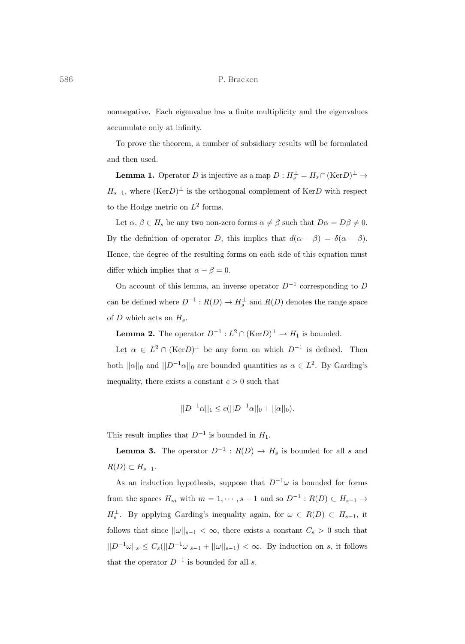#### 586 P. Bracken

nonnegative. Each eigenvalue has a finite multiplicity and the eigenvalues accumulate only at infinity.

To prove the theorem, a number of subsidiary results will be formulated and then used.

**Lemma 1.** Operator D is injective as a map  $D: H_s^{\perp} = H_s \cap (\text{Ker} D)^{\perp} \to$  $H_{s-1}$ , where  $(\text{Ker}D)^{\perp}$  is the orthogonal complement of  $\text{Ker}D$  with respect to the Hodge metric on  $L^2$  forms.

Let  $\alpha, \beta \in H_s$  be any two non-zero forms  $\alpha \neq \beta$  such that  $D\alpha = D\beta \neq 0$ . By the definition of operator D, this implies that  $d(\alpha - \beta) = \delta(\alpha - \beta)$ . Hence, the degree of the resulting forms on each side of this equation must differ which implies that  $\alpha - \beta = 0$ .

On account of this lemma, an inverse operator  $D^{-1}$  corresponding to D can be defined where  $D^{-1}: R(D) \to H_s^{\perp}$  and  $R(D)$  denotes the range space of  $D$  which acts on  $H_s$ .

**Lemma 2.** The operator  $D^{-1}: L^2 \cap (\text{Ker }D)^{\perp} \to H_1$  is bounded.

Let  $\alpha \in L^2 \cap (\text{Ker }D)^{\perp}$  be any form on which  $D^{-1}$  is defined. Then both  $||\alpha||_0$  and  $||D^{-1}\alpha||_0$  are bounded quantities as  $\alpha \in L^2$ . By Garding's inequality, there exists a constant  $c > 0$  such that

$$
||D^{-1}\alpha||_1 \le c(||D^{-1}\alpha||_0 + ||\alpha||_0).
$$

This result implies that  $D^{-1}$  is bounded in  $H_1$ .

**Lemma 3.** The operator  $D^{-1}$  :  $R(D) \rightarrow H_s$  is bounded for all s and  $R(D) \subset H_{s-1}.$ 

As an induction hypothesis, suppose that  $D^{-1}\omega$  is bounded for forms from the spaces  $H_m$  with  $m = 1, \dots, s - 1$  and so  $D^{-1} : R(D) \subset H_{s-1} \to$  $H_s^{\perp}$ . By applying Garding's inequality again, for  $\omega \in R(D) \subset H_{s-1}$ , it follows that since  $||\omega||_{s-1} < \infty$ , there exists a constant  $C_s > 0$  such that  $||D^{-1}\omega||_s \leq C_s (||D^{-1}\omega|_{s-1} + ||\omega||_{s-1}) < \infty$ . By induction on s, it follows that the operator  $D^{-1}$  is bounded for all s.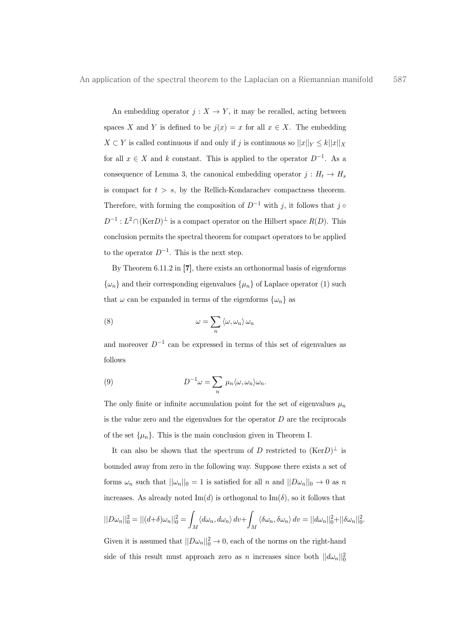An embedding operator  $j: X \to Y$ , it may be recalled, acting between spaces X and Y is defined to be  $j(x) = x$  for all  $x \in X$ . The embedding  $X \subset Y$  is called continuous if and only if j is continuous so  $||x||_Y \leq k||x||_X$ for all  $x \in X$  and k constant. This is applied to the operator  $D^{-1}$ . As a consequence of Lemma 3, the canonical embedding operator  $j: H_t \to H_s$ is compact for  $t>s$ , by the Rellich-Kondarachev compactness theorem. Therefore, with forming the composition of  $D^{-1}$  with j, it follows that j  $\circ$  $D^{-1}: L^2 \cap (\text{Ker }D)^{\perp}$  is a compact operator on the Hilbert space  $R(D)$ . This conclusion permits the spectral theorem for compact operators to be applied to the operator  $D^{-1}$ . This is the next step.

By Theorem 6.11.2 in [7], there exists an orthonormal basis of eigenforms  $\{\omega_n\}$  and their corresponding eigenvalues  $\{\mu_n\}$  of Laplace operator (1) such that  $\omega$  can be expanded in terms of the eigenforms  $\{\omega_n\}$  as

(8) 
$$
\omega = \sum_{n} \langle \omega, \omega_n \rangle \, \omega_n
$$

and moreover  $D^{-1}$  can be expressed in terms of this set of eigenvalues as follows

(9) 
$$
D^{-1}\omega = \sum_{n} \mu_n \langle \omega, \omega_n \rangle \omega_n.
$$

The only finite or infinite accumulation point for the set of eigenvalues  $\mu_n$ is the value zero and the eigenvalues for the operator  $D$  are the reciprocals of the set  $\{\mu_n\}$ . This is the main conclusion given in Theorem I.

It can also be shown that the spectrum of D restricted to  $(Ker D)^{\perp}$  is bounded away from zero in the following way. Suppose there exists a set of forms  $\omega_n$  such that  $||\omega_n||_0 = 1$  is satisfied for all n and  $||D\omega_n||_0 \to 0$  as n increases. As already noted  $\text{Im}(d)$  is orthogonal to  $\text{Im}(\delta)$ , so it follows that

$$
||D\omega_n||_0^2 = ||(d+\delta)\omega_n||_0^2 = \int_M \langle d\omega_n, d\omega_n \rangle dv + \int_M \langle \delta\omega_n, \delta\omega_n \rangle dv = ||d\omega_n||_0^2 + ||\delta\omega_n||_0^2.
$$

Given it is assumed that  $||D\omega_n||_0^2 \to 0$ , each of the norms on the right-hand side of this result must approach zero as n increases since both  $||d\omega_n||_0^2$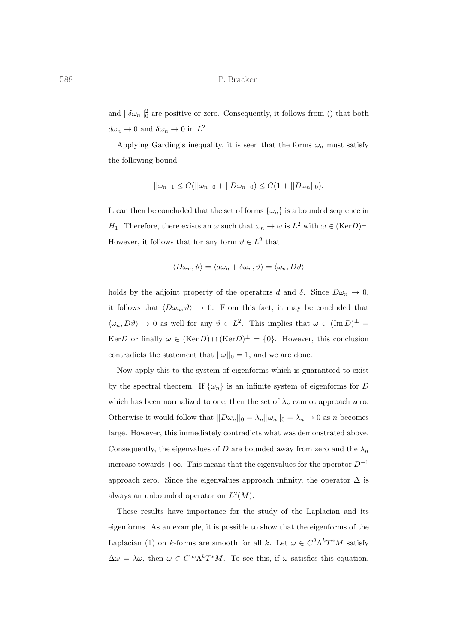and  $||\delta\omega_n||_0^2$  are positive or zero. Consequently, it follows from () that both  $d\omega_n \to 0$  and  $\delta\omega_n \to 0$  in  $L^2$ .

Applying Garding's inequality, it is seen that the forms  $\omega_n$  must satisfy the following bound

$$
||\omega_n||_1 \leq C(||\omega_n||_0 + ||D\omega_n||_0) \leq C(1 + ||D\omega_n||_0).
$$

It can then be concluded that the set of forms  $\{\omega_n\}$  is a bounded sequence in H<sub>1</sub>. Therefore, there exists an  $\omega$  such that  $\omega_n \to \omega$  is  $L^2$  with  $\omega \in (\text{Ker}D)^{\perp}$ . However, it follows that for any form  $\vartheta \in L^2$  that

$$
\langle D\omega_n, \vartheta \rangle = \langle d\omega_n + \delta \omega_n, \vartheta \rangle = \langle \omega_n, D\vartheta \rangle
$$

holds by the adjoint property of the operators d and  $\delta$ . Since  $D\omega_n \to 0$ , it follows that  $\langle D\omega_n, \vartheta \rangle \to 0$ . From this fact, it may be concluded that  $\langle \omega_n, D\vartheta \rangle \to 0$  as well for any  $\vartheta \in L^2$ . This implies that  $\omega \in (\text{Im } D)^{\perp} =$ KerD or finally  $\omega \in (\text{Ker } D) \cap (\text{Ker } D)^{\perp} = \{0\}.$  However, this conclusion contradicts the statement that  $||\omega||_0 = 1$ , and we are done.

Now apply this to the system of eigenforms which is guaranteed to exist by the spectral theorem. If  $\{\omega_n\}$  is an infinite system of eigenforms for D which has been normalized to one, then the set of  $\lambda_n$  cannot approach zero. Otherwise it would follow that  $||D\omega_n||_0 = \lambda_n ||\omega_n||_0 = \lambda_n \to 0$  as n becomes large. However, this immediately contradicts what was demonstrated above. Consequently, the eigenvalues of D are bounded away from zero and the  $\lambda_n$ increase towards  $+\infty$ . This means that the eigenvalues for the operator  $D^{-1}$ approach zero. Since the eigenvalues approach infinity, the operator  $\Delta$  is always an unbounded operator on  $L^2(M)$ .

These results have importance for the study of the Laplacian and its eigenforms. As an example, it is possible to show that the eigenforms of the Laplacian (1) on k-forms are smooth for all k. Let  $\omega \in C^2 \Lambda^k T^* M$  satisfy  $\Delta \omega = \lambda \omega$ , then  $\omega \in C^{\infty} \Lambda^k T^* M$ . To see this, if  $\omega$  satisfies this equation,